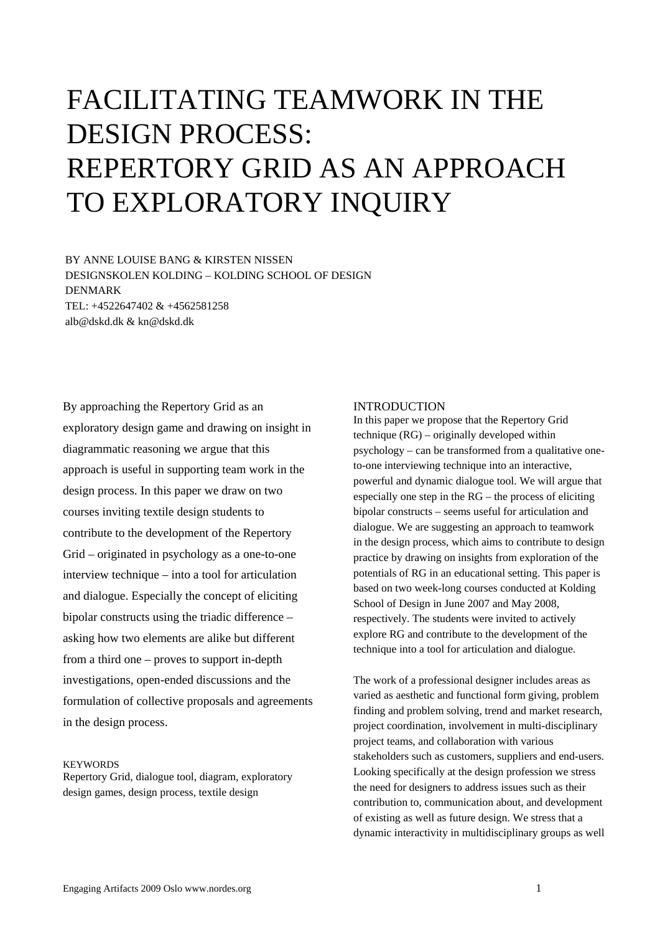# FACILITATING TEAMWORK IN THE DESIGN PROCESS: REPERTORY GRID AS AN APPROACH TO EXPLORATORY INQUIRY

BY ANNE LOUISE BANG & KIRSTEN NISSEN DESIGNSKOLEN KOLDING – KOLDING SCHOOL OF DESIGN DENMARK TEL: +4522647402 & +4562581258 alb@dskd.dk & kn@dskd.dk

By approaching the Repertory Grid as an exploratory design game and drawing on insight in diagrammatic reasoning we argue that this approach is useful in supporting team work in the design process. In this paper we draw on two courses inviting textile design students to contribute to the development of the Repertory Grid – originated in psychology as a one-to-one interview technique – into a tool for articulation and dialogue. Especially the concept of eliciting bipolar constructs using the triadic difference – asking how two elements are alike but different from a third one – proves to support in-depth investigations, open-ended discussions and the formulation of collective proposals and agreements in the design process.

## **KEYWORDS**

Repertory Grid, dialogue tool, diagram, exploratory design games, design process, textile design

# INTRODUCTION

In this paper we propose that the Repertory Grid technique (RG) – originally developed within psychology – can be transformed from a qualitative oneto-one interviewing technique into an interactive, powerful and dynamic dialogue tool. We will argue that especially one step in the RG – the process of eliciting bipolar constructs – seems useful for articulation and dialogue. We are suggesting an approach to teamwork in the design process, which aims to contribute to design practice by drawing on insights from exploration of the potentials of RG in an educational setting. This paper is based on two week-long courses conducted at Kolding School of Design in June 2007 and May 2008, respectively. The students were invited to actively explore RG and contribute to the development of the technique into a tool for articulation and dialogue.

The work of a professional designer includes areas as varied as aesthetic and functional form giving, problem finding and problem solving, trend and market research, project coordination, involvement in multi-disciplinary project teams, and collaboration with various stakeholders such as customers, suppliers and end-users. Looking specifically at the design profession we stress the need for designers to address issues such as their contribution to, communication about, and development of existing as well as future design. We stress that a dynamic interactivity in multidisciplinary groups as well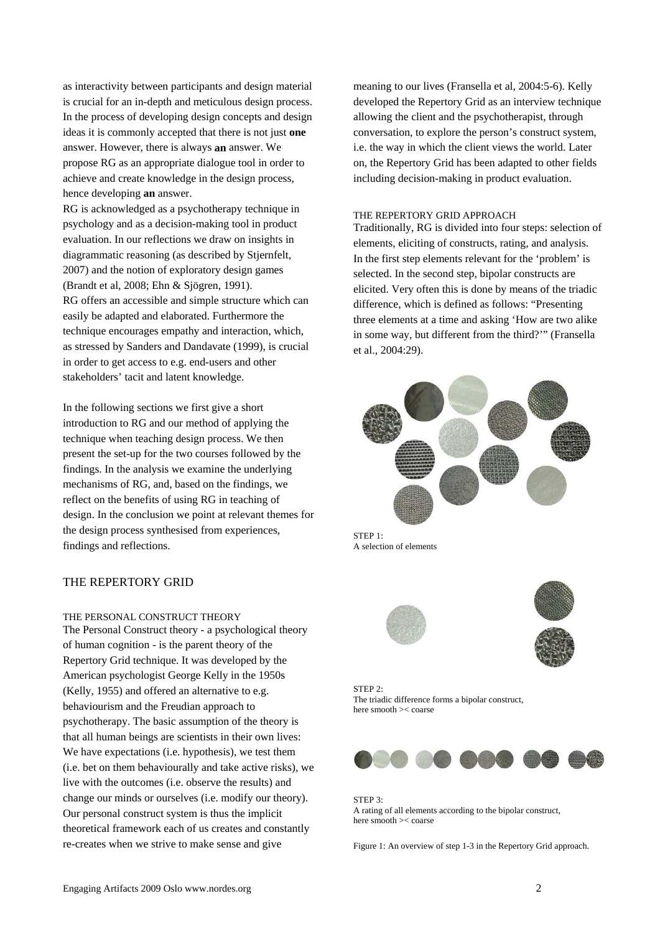as interactivity between participants and design material is crucial for an in-depth and meticulous design process. In the process of developing design concepts and design ideas it is commonly accepted that there is not just **one** answer. However, there is always **an** answer. We propose RG as an appropriate dialogue tool in order to achieve and create knowledge in the design process, hence developing **an** answer.

RG is acknowledged as a psychotherapy technique in psychology and as a decision-making tool in product evaluation. In our reflections we draw on insights in diagrammatic reasoning (as described by Stjernfelt, 2007) and the notion of exploratory design games (Brandt et al, 2008; Ehn & Sjögren, 1991). RG offers an accessible and simple structure which can easily be adapted and elaborated. Furthermore the technique encourages empathy and interaction, which, as stressed by Sanders and Dandavate (1999), is crucial in order to get access to e.g. end-users and other stakeholders' tacit and latent knowledge.

In the following sections we first give a short introduction to RG and our method of applying the technique when teaching design process. We then present the set-up for the two courses followed by the findings. In the analysis we examine the underlying mechanisms of RG, and, based on the findings, we reflect on the benefits of using RG in teaching of design. In the conclusion we point at relevant themes for the design process synthesised from experiences, findings and reflections.

# THE REPERTORY GRID

# THE PERSONAL CONSTRUCT THEORY

The Personal Construct theory - a psychological theory of human cognition - is the parent theory of the Repertory Grid technique. It was developed by the American psychologist George Kelly in the 1950s (Kelly, 1955) and offered an alternative to e.g. behaviourism and the Freudian approach to psychotherapy. The basic assumption of the theory is that all human beings are scientists in their own lives: We have expectations (i.e. hypothesis), we test them (i.e. bet on them behaviourally and take active risks), we live with the outcomes (i.e. observe the results) and change our minds or ourselves (i.e. modify our theory). Our personal construct system is thus the implicit theoretical framework each of us creates and constantly re-creates when we strive to make sense and give

meaning to our lives (Fransella et al, 2004:5-6). Kelly developed the Repertory Grid as an interview technique allowing the client and the psychotherapist, through conversation, to explore the person's construct system, i.e. the way in which the client views the world. Later on, the Repertory Grid has been adapted to other fields including decision-making in product evaluation.

#### THE REPERTORY GRID APPROACH

Traditionally, RG is divided into four steps: selection of elements, eliciting of constructs, rating, and analysis. In the first step elements relevant for the 'problem' is selected. In the second step, bipolar constructs are elicited. Very often this is done by means of the triadic difference, which is defined as follows: "Presenting three elements at a time and asking 'How are two alike in some way, but different from the third?'" (Fransella et al., 2004:29).



A selection of elements



 $STFP 2$ The triadic difference forms a bipolar construct, here smooth >< coarse



STEP 3: A rating of all elements according to the bipolar construct, here smooth >< coarse

Figure 1: An overview of step 1-3 in the Repertory Grid approach.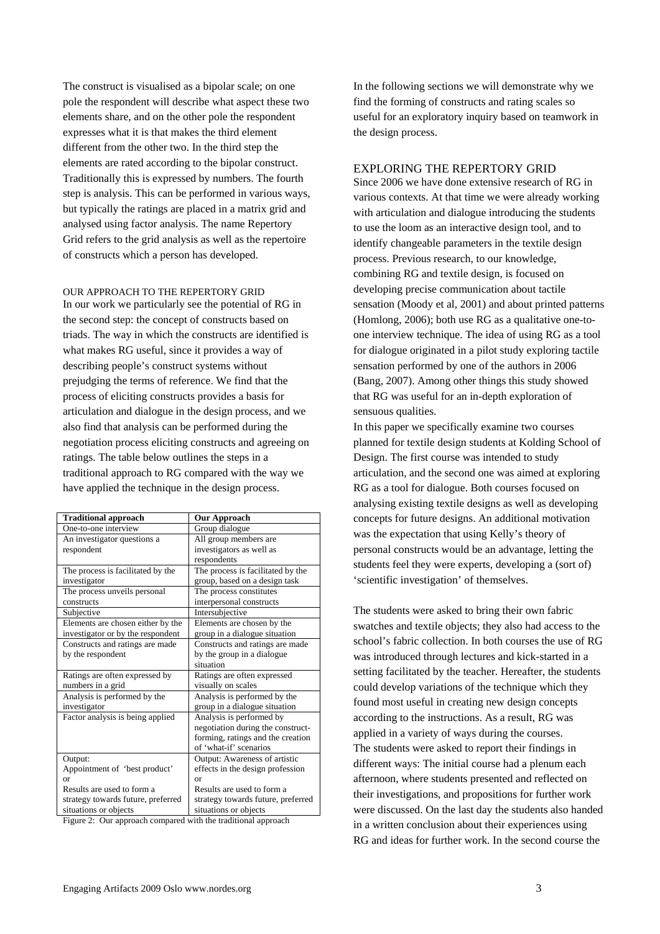The construct is visualised as a bipolar scale; on one pole the respondent will describe what aspect these two elements share, and on the other pole the respondent expresses what it is that makes the third element different from the other two. In the third step the elements are rated according to the bipolar construct. Traditionally this is expressed by numbers. The fourth step is analysis. This can be performed in various ways, but typically the ratings are placed in a matrix grid and analysed using factor analysis. The name Repertory Grid refers to the grid analysis as well as the repertoire of constructs which a person has developed.

OUR APPROACH TO THE REPERTORY GRID In our work we particularly see the potential of RG in the second step: the concept of constructs based on triads. The way in which the constructs are identified is what makes RG useful, since it provides a way of describing people's construct systems without prejudging the terms of reference. We find that the process of eliciting constructs provides a basis for articulation and dialogue in the design process, and we also find that analysis can be performed during the negotiation process eliciting constructs and agreeing on ratings. The table below outlines the steps in a traditional approach to RG compared with the way we have applied the technique in the design process.

| <b>Traditional approach</b>        | <b>Our Approach</b>                |
|------------------------------------|------------------------------------|
| One-to-one interview               | Group dialogue                     |
|                                    |                                    |
| An investigator questions a        | All group members are              |
| respondent                         | investigators as well as           |
|                                    | respondents                        |
| The process is facilitated by the  | The process is facilitated by the  |
| investigator                       | group, based on a design task      |
| The process unveils personal       | The process constitutes            |
| constructs                         | interpersonal constructs           |
| Subjective                         | Intersubjective                    |
| Elements are chosen either by the  | Elements are chosen by the         |
| investigator or by the respondent  | group in a dialogue situation      |
| Constructs and ratings are made    | Constructs and ratings are made    |
| by the respondent                  | by the group in a dialogue         |
|                                    | situation                          |
| Ratings are often expressed by     | Ratings are often expressed        |
| numbers in a grid                  | visually on scales                 |
| Analysis is performed by the       | Analysis is performed by the       |
| investigator                       | group in a dialogue situation      |
| Factor analysis is being applied   | Analysis is performed by           |
|                                    | negotiation during the construct-  |
|                                    | forming, ratings and the creation  |
|                                    | of 'what-if' scenarios             |
| Output:                            | Output: Awareness of artistic      |
| Appointment of 'best product'      | effects in the design profession   |
| $\alpha$ <sup>r</sup>              | or                                 |
| Results are used to form a         | Results are used to form a         |
| strategy towards future, preferred | strategy towards future, preferred |
| situations or objects              | situations or objects              |
|                                    |                                    |

Figure 2: Our approach compared with the traditional approach

In the following sections we will demonstrate why we find the forming of constructs and rating scales so useful for an exploratory inquiry based on teamwork in the design process.

# EXPLORING THE REPERTORY GRID

Since 2006 we have done extensive research of RG in various contexts. At that time we were already working with articulation and dialogue introducing the students to use the loom as an interactive design tool, and to identify changeable parameters in the textile design process. Previous research, to our knowledge, combining RG and textile design, is focused on developing precise communication about tactile sensation (Moody et al, 2001) and about printed patterns (Homlong, 2006); both use RG as a qualitative one-toone interview technique. The idea of using RG as a tool for dialogue originated in a pilot study exploring tactile sensation performed by one of the authors in 2006 (Bang, 2007). Among other things this study showed that RG was useful for an in-depth exploration of sensuous qualities.

In this paper we specifically examine two courses planned for textile design students at Kolding School of Design. The first course was intended to study articulation, and the second one was aimed at exploring RG as a tool for dialogue. Both courses focused on analysing existing textile designs as well as developing concepts for future designs. An additional motivation was the expectation that using Kelly's theory of personal constructs would be an advantage, letting the students feel they were experts, developing a (sort of) 'scientific investigation' of themselves.

The students were asked to bring their own fabric swatches and textile objects; they also had access to the school's fabric collection. In both courses the use of RG was introduced through lectures and kick-started in a setting facilitated by the teacher. Hereafter, the students could develop variations of the technique which they found most useful in creating new design concepts according to the instructions. As a result, RG was applied in a variety of ways during the courses. The students were asked to report their findings in different ways: The initial course had a plenum each afternoon, where students presented and reflected on their investigations, and propositions for further work were discussed. On the last day the students also handed in a written conclusion about their experiences using RG and ideas for further work. In the second course the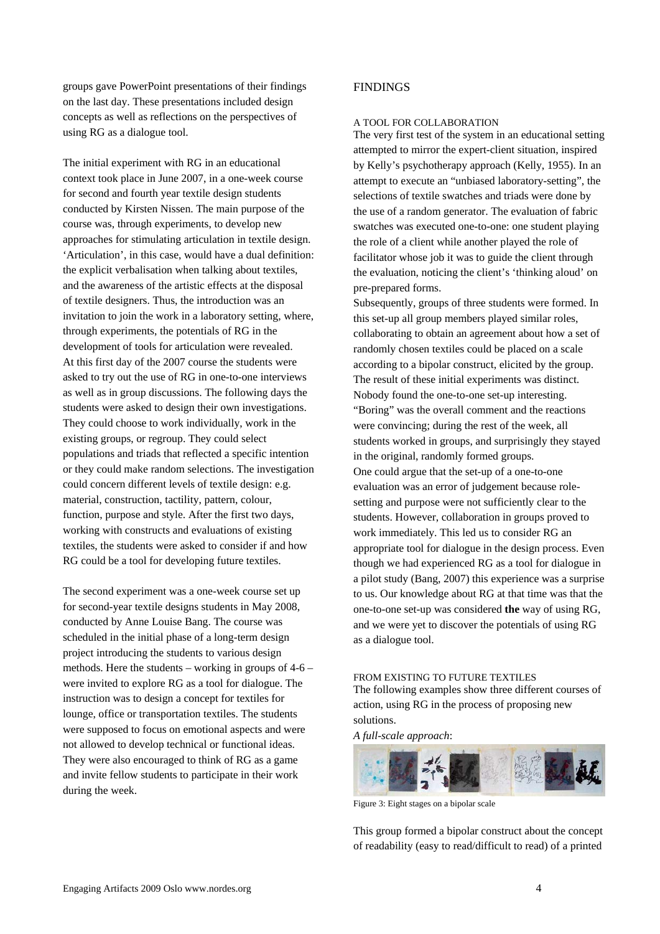groups gave PowerPoint presentations of their findings on the last day. These presentations included design concepts as well as reflections on the perspectives of using RG as a dialogue tool.

The initial experiment with RG in an educational context took place in June 2007, in a one-week course for second and fourth year textile design students conducted by Kirsten Nissen. The main purpose of the course was, through experiments, to develop new approaches for stimulating articulation in textile design. 'Articulation', in this case, would have a dual definition: the explicit verbalisation when talking about textiles, and the awareness of the artistic effects at the disposal of textile designers. Thus, the introduction was an invitation to join the work in a laboratory setting, where, through experiments, the potentials of RG in the development of tools for articulation were revealed. At this first day of the 2007 course the students were asked to try out the use of RG in one-to-one interviews as well as in group discussions. The following days the students were asked to design their own investigations. They could choose to work individually, work in the existing groups, or regroup. They could select populations and triads that reflected a specific intention or they could make random selections. The investigation could concern different levels of textile design: e.g. material, construction, tactility, pattern, colour, function, purpose and style. After the first two days, working with constructs and evaluations of existing textiles, the students were asked to consider if and how RG could be a tool for developing future textiles.

The second experiment was a one-week course set up for second-year textile designs students in May 2008, conducted by Anne Louise Bang. The course was scheduled in the initial phase of a long-term design project introducing the students to various design methods. Here the students – working in groups of 4-6 – were invited to explore RG as a tool for dialogue. The instruction was to design a concept for textiles for lounge, office or transportation textiles. The students were supposed to focus on emotional aspects and were not allowed to develop technical or functional ideas. They were also encouraged to think of RG as a game and invite fellow students to participate in their work during the week.

# FINDINGS

## A TOOL FOR COLLABORATION

The very first test of the system in an educational setting attempted to mirror the expert-client situation, inspired by Kelly's psychotherapy approach (Kelly, 1955). In an attempt to execute an "unbiased laboratory-setting", the selections of textile swatches and triads were done by the use of a random generator. The evaluation of fabric swatches was executed one-to-one: one student playing the role of a client while another played the role of facilitator whose job it was to guide the client through the evaluation, noticing the client's 'thinking aloud' on pre-prepared forms.

Subsequently, groups of three students were formed. In this set-up all group members played similar roles, collaborating to obtain an agreement about how a set of randomly chosen textiles could be placed on a scale according to a bipolar construct, elicited by the group. The result of these initial experiments was distinct. Nobody found the one-to-one set-up interesting. "Boring" was the overall comment and the reactions were convincing; during the rest of the week, all students worked in groups, and surprisingly they stayed in the original, randomly formed groups. One could argue that the set-up of a one-to-one evaluation was an error of judgement because rolesetting and purpose were not sufficiently clear to the students. However, collaboration in groups proved to work immediately. This led us to consider RG an appropriate tool for dialogue in the design process. Even though we had experienced RG as a tool for dialogue in a pilot study (Bang, 2007) this experience was a surprise to us. Our knowledge about RG at that time was that the one-to-one set-up was considered **the** way of using RG, and we were yet to discover the potentials of using RG as a dialogue tool.

# FROM EXISTING TO FUTURE TEXTILES

The following examples show three different courses of action, using RG in the process of proposing new solutions.

*A full-scale approach*:



Figure 3: Eight stages on a bipolar scale

This group formed a bipolar construct about the concept of readability (easy to read/difficult to read) of a printed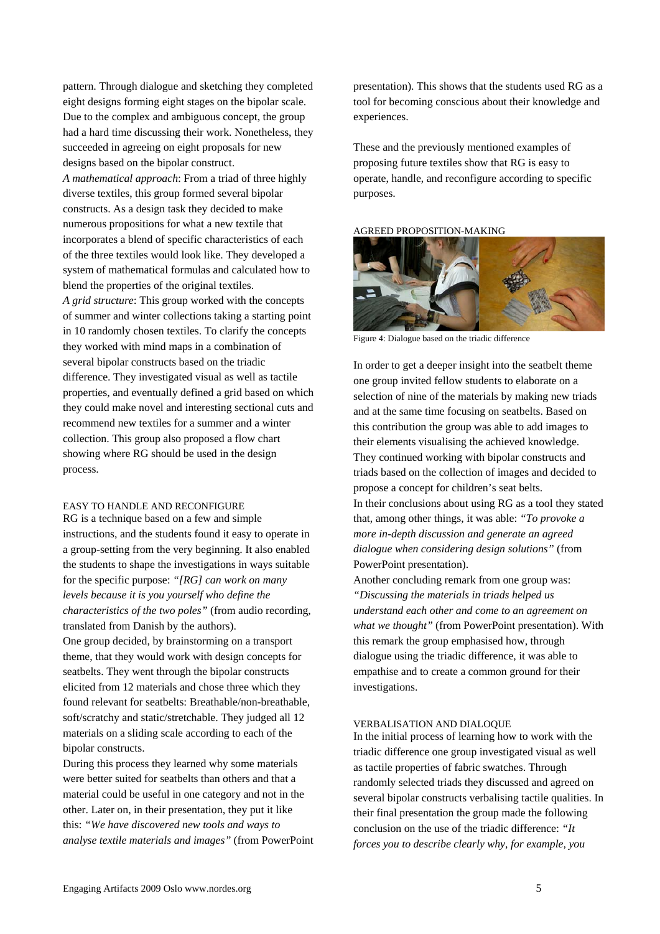pattern. Through dialogue and sketching they completed eight designs forming eight stages on the bipolar scale. Due to the complex and ambiguous concept, the group had a hard time discussing their work. Nonetheless, they succeeded in agreeing on eight proposals for new designs based on the bipolar construct.

*A mathematical approach*: From a triad of three highly diverse textiles, this group formed several bipolar constructs. As a design task they decided to make numerous propositions for what a new textile that incorporates a blend of specific characteristics of each of the three textiles would look like. They developed a system of mathematical formulas and calculated how to blend the properties of the original textiles. *A grid structure*: This group worked with the concepts of summer and winter collections taking a starting point in 10 randomly chosen textiles. To clarify the concepts they worked with mind maps in a combination of several bipolar constructs based on the triadic difference. They investigated visual as well as tactile properties, and eventually defined a grid based on which they could make novel and interesting sectional cuts and recommend new textiles for a summer and a winter collection. This group also proposed a flow chart showing where RG should be used in the design process.

# EASY TO HANDLE AND RECONFIGURE

RG is a technique based on a few and simple instructions, and the students found it easy to operate in a group-setting from the very beginning. It also enabled the students to shape the investigations in ways suitable for the specific purpose: *"[RG] can work on many levels because it is you yourself who define the characteristics of the two poles"* (from audio recording, translated from Danish by the authors).

One group decided, by brainstorming on a transport theme, that they would work with design concepts for seatbelts. They went through the bipolar constructs elicited from 12 materials and chose three which they found relevant for seatbelts: Breathable/non-breathable, soft/scratchy and static/stretchable. They judged all 12 materials on a sliding scale according to each of the bipolar constructs.

During this process they learned why some materials were better suited for seatbelts than others and that a material could be useful in one category and not in the other. Later on, in their presentation, they put it like this: *"We have discovered new tools and ways to analyse textile materials and images"* (from PowerPoint presentation). This shows that the students used RG as a tool for becoming conscious about their knowledge and experiences.

These and the previously mentioned examples of proposing future textiles show that RG is easy to operate, handle, and reconfigure according to specific purposes.

#### AGREED PROPOSITION-MAKING



Figure 4: Dialogue based on the triadic difference

In order to get a deeper insight into the seatbelt theme one group invited fellow students to elaborate on a selection of nine of the materials by making new triads and at the same time focusing on seatbelts. Based on this contribution the group was able to add images to their elements visualising the achieved knowledge. They continued working with bipolar constructs and triads based on the collection of images and decided to propose a concept for children's seat belts. In their conclusions about using RG as a tool they stated that, among other things, it was able: *"To provoke a more in-depth discussion and generate an agreed dialogue when considering design solutions"* (from PowerPoint presentation).

Another concluding remark from one group was: *"Discussing the materials in triads helped us understand each other and come to an agreement on what we thought"* (from PowerPoint presentation). With this remark the group emphasised how, through dialogue using the triadic difference, it was able to empathise and to create a common ground for their investigations.

### VERBALISATION AND DIALOQUE

In the initial process of learning how to work with the triadic difference one group investigated visual as well as tactile properties of fabric swatches. Through randomly selected triads they discussed and agreed on several bipolar constructs verbalising tactile qualities. In their final presentation the group made the following conclusion on the use of the triadic difference: *"It forces you to describe clearly why, for example, you*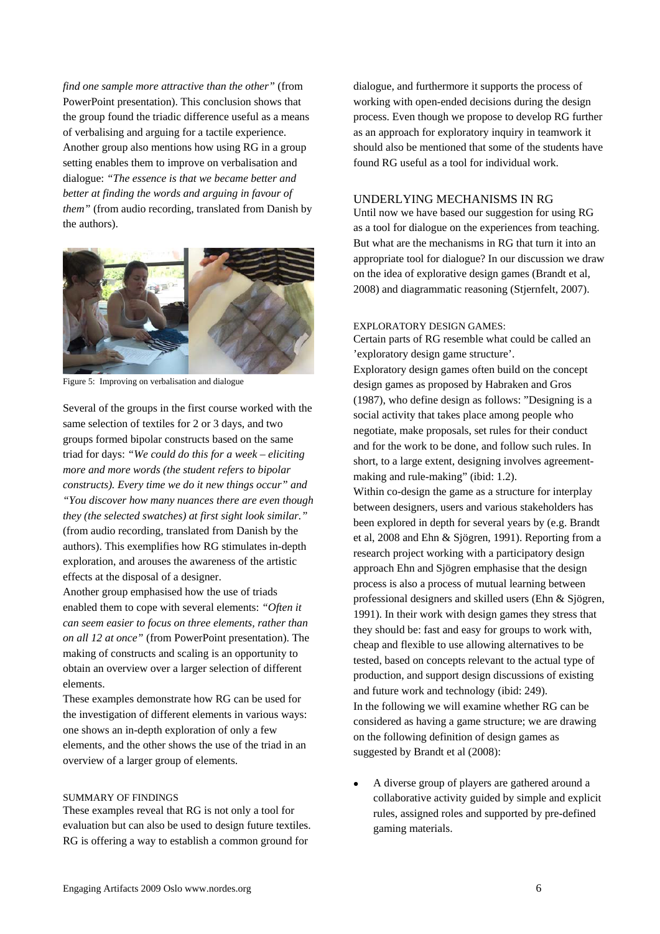*find one sample more attractive than the other"* (from PowerPoint presentation). This conclusion shows that the group found the triadic difference useful as a means of verbalising and arguing for a tactile experience. Another group also mentions how using RG in a group setting enables them to improve on verbalisation and dialogue: *"The essence is that we became better and better at finding the words and arguing in favour of them"* (from audio recording, translated from Danish by the authors).



Figure 5: Improving on verbalisation and dialogue

Several of the groups in the first course worked with the same selection of textiles for 2 or 3 days, and two groups formed bipolar constructs based on the same triad for days: *"We could do this for a week – eliciting more and more words (the student refers to bipolar constructs). Every time we do it new things occur" and "You discover how many nuances there are even though they (the selected swatches) at first sight look similar."* (from audio recording, translated from Danish by the authors). This exemplifies how RG stimulates in-depth exploration, and arouses the awareness of the artistic effects at the disposal of a designer.

Another group emphasised how the use of triads enabled them to cope with several elements: *"Often it can seem easier to focus on three elements, rather than on all 12 at once"* (from PowerPoint presentation). The making of constructs and scaling is an opportunity to obtain an overview over a larger selection of different elements.

These examples demonstrate how RG can be used for the investigation of different elements in various ways: one shows an in-depth exploration of only a few elements, and the other shows the use of the triad in an overview of a larger group of elements.

# SUMMARY OF FINDINGS

These examples reveal that RG is not only a tool for evaluation but can also be used to design future textiles. RG is offering a way to establish a common ground for

dialogue, and furthermore it supports the process of working with open-ended decisions during the design process. Even though we propose to develop RG further as an approach for exploratory inquiry in teamwork it should also be mentioned that some of the students have found RG useful as a tool for individual work.

# UNDERLYING MECHANISMS IN RG

Until now we have based our suggestion for using RG as a tool for dialogue on the experiences from teaching. But what are the mechanisms in RG that turn it into an appropriate tool for dialogue? In our discussion we draw on the idea of explorative design games (Brandt et al, 2008) and diagrammatic reasoning (Stjernfelt, 2007).

## EXPLORATORY DESIGN GAMES:

Certain parts of RG resemble what could be called an 'exploratory design game structure'. Exploratory design games often build on the concept design games as proposed by Habraken and Gros (1987), who define design as follows: "Designing is a social activity that takes place among people who negotiate, make proposals, set rules for their conduct and for the work to be done, and follow such rules. In short, to a large extent, designing involves agreementmaking and rule-making" (ibid: 1.2).

Within co-design the game as a structure for interplay between designers, users and various stakeholders has been explored in depth for several years by (e.g. Brandt et al, 2008 and Ehn & Sjögren, 1991). Reporting from a research project working with a participatory design approach Ehn and Sjögren emphasise that the design process is also a process of mutual learning between professional designers and skilled users (Ehn & Sjögren, 1991). In their work with design games they stress that they should be: fast and easy for groups to work with, cheap and flexible to use allowing alternatives to be tested, based on concepts relevant to the actual type of production, and support design discussions of existing and future work and technology (ibid: 249). In the following we will examine whether RG can be considered as having a game structure; we are drawing on the following definition of design games as suggested by Brandt et al (2008):

• A diverse group of players are gathered around a collaborative activity guided by simple and explicit rules, assigned roles and supported by pre-defined gaming materials.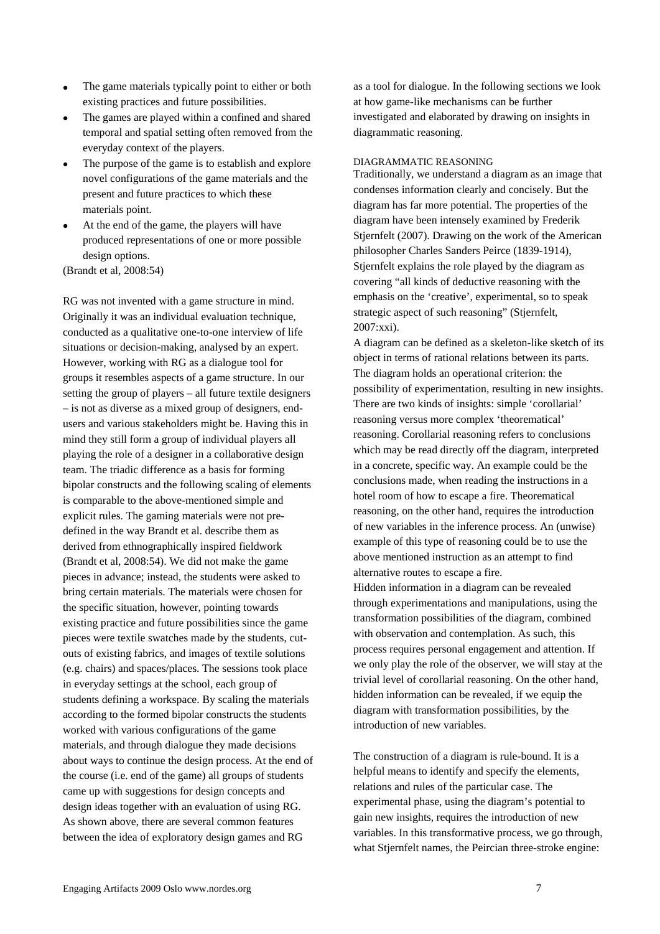- The game materials typically point to either or both existing practices and future possibilities.
- The games are played within a confined and shared temporal and spatial setting often removed from the everyday context of the players.
- The purpose of the game is to establish and explore novel configurations of the game materials and the present and future practices to which these materials point.
- At the end of the game, the players will have produced representations of one or more possible design options.

(Brandt et al, 2008:54)

RG was not invented with a game structure in mind. Originally it was an individual evaluation technique, conducted as a qualitative one-to-one interview of life situations or decision-making, analysed by an expert. However, working with RG as a dialogue tool for groups it resembles aspects of a game structure. In our setting the group of players – all future textile designers – is not as diverse as a mixed group of designers, endusers and various stakeholders might be. Having this in mind they still form a group of individual players all playing the role of a designer in a collaborative design team. The triadic difference as a basis for forming bipolar constructs and the following scaling of elements is comparable to the above-mentioned simple and explicit rules. The gaming materials were not predefined in the way Brandt et al. describe them as derived from ethnographically inspired fieldwork (Brandt et al, 2008:54). We did not make the game pieces in advance; instead, the students were asked to bring certain materials. The materials were chosen for the specific situation, however, pointing towards existing practice and future possibilities since the game pieces were textile swatches made by the students, cutouts of existing fabrics, and images of textile solutions (e.g. chairs) and spaces/places. The sessions took place in everyday settings at the school, each group of students defining a workspace. By scaling the materials according to the formed bipolar constructs the students worked with various configurations of the game materials, and through dialogue they made decisions about ways to continue the design process. At the end of the course (i.e. end of the game) all groups of students came up with suggestions for design concepts and design ideas together with an evaluation of using RG. As shown above, there are several common features between the idea of exploratory design games and RG

as a tool for dialogue. In the following sections we look at how game-like mechanisms can be further investigated and elaborated by drawing on insights in diagrammatic reasoning.

#### DIAGRAMMATIC REASONING

Traditionally, we understand a diagram as an image that condenses information clearly and concisely. But the diagram has far more potential. The properties of the diagram have been intensely examined by Frederik Stjernfelt (2007). Drawing on the work of the American philosopher Charles Sanders Peirce (1839-1914), Stjernfelt explains the role played by the diagram as covering "all kinds of deductive reasoning with the emphasis on the 'creative', experimental, so to speak strategic aspect of such reasoning" (Stjernfelt, 2007:xxi).

A diagram can be defined as a skeleton-like sketch of its object in terms of rational relations between its parts. The diagram holds an operational criterion: the possibility of experimentation, resulting in new insights. There are two kinds of insights: simple 'corollarial' reasoning versus more complex 'theorematical' reasoning. Corollarial reasoning refers to conclusions which may be read directly off the diagram, interpreted in a concrete, specific way. An example could be the conclusions made, when reading the instructions in a hotel room of how to escape a fire. Theorematical reasoning, on the other hand, requires the introduction of new variables in the inference process. An (unwise) example of this type of reasoning could be to use the above mentioned instruction as an attempt to find alternative routes to escape a fire.

Hidden information in a diagram can be revealed through experimentations and manipulations, using the transformation possibilities of the diagram, combined with observation and contemplation. As such, this process requires personal engagement and attention. If we only play the role of the observer, we will stay at the trivial level of corollarial reasoning. On the other hand, hidden information can be revealed, if we equip the diagram with transformation possibilities, by the introduction of new variables.

The construction of a diagram is rule-bound. It is a helpful means to identify and specify the elements, relations and rules of the particular case. The experimental phase, using the diagram's potential to gain new insights, requires the introduction of new variables. In this transformative process, we go through, what Stjernfelt names, the Peircian three-stroke engine: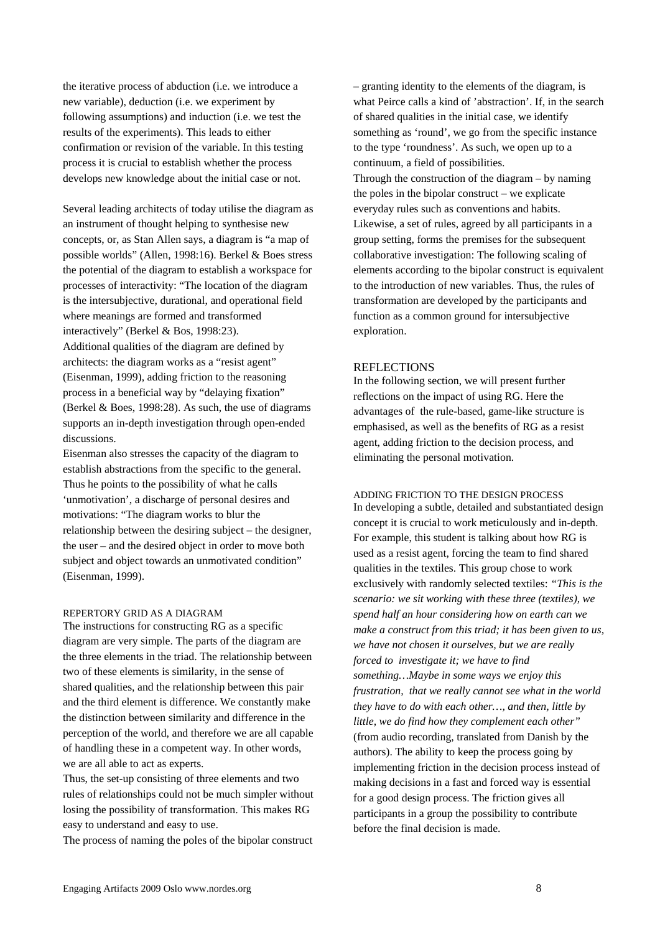the iterative process of abduction (i.e. we introduce a new variable), deduction (i.e. we experiment by following assumptions) and induction (i.e. we test the results of the experiments). This leads to either confirmation or revision of the variable. In this testing process it is crucial to establish whether the process develops new knowledge about the initial case or not.

Several leading architects of today utilise the diagram as an instrument of thought helping to synthesise new concepts, or, as Stan Allen says, a diagram is "a map of possible worlds" (Allen, 1998:16). Berkel & Boes stress the potential of the diagram to establish a workspace for processes of interactivity: "The location of the diagram is the intersubjective, durational, and operational field where meanings are formed and transformed interactively" (Berkel & Bos, 1998:23). Additional qualities of the diagram are defined by architects: the diagram works as a "resist agent" (Eisenman, 1999), adding friction to the reasoning process in a beneficial way by "delaying fixation" (Berkel & Boes, 1998:28). As such, the use of diagrams supports an in-depth investigation through open-ended discussions.

Eisenman also stresses the capacity of the diagram to establish abstractions from the specific to the general. Thus he points to the possibility of what he calls 'unmotivation', a discharge of personal desires and motivations: "The diagram works to blur the relationship between the desiring subject – the designer, the user – and the desired object in order to move both subject and object towards an unmotivated condition" (Eisenman, 1999).

# REPERTORY GRID AS A DIAGRAM

The instructions for constructing RG as a specific diagram are very simple. The parts of the diagram are the three elements in the triad. The relationship between two of these elements is similarity, in the sense of shared qualities, and the relationship between this pair and the third element is difference. We constantly make the distinction between similarity and difference in the perception of the world, and therefore we are all capable of handling these in a competent way. In other words, we are all able to act as experts.

Thus, the set-up consisting of three elements and two rules of relationships could not be much simpler without losing the possibility of transformation. This makes RG easy to understand and easy to use.

The process of naming the poles of the bipolar construct

– granting identity to the elements of the diagram, is what Peirce calls a kind of 'abstraction'. If, in the search of shared qualities in the initial case, we identify something as 'round', we go from the specific instance to the type 'roundness'. As such, we open up to a continuum, a field of possibilities.

Through the construction of the diagram – by naming the poles in the bipolar construct – we explicate everyday rules such as conventions and habits. Likewise, a set of rules, agreed by all participants in a group setting, forms the premises for the subsequent collaborative investigation: The following scaling of elements according to the bipolar construct is equivalent to the introduction of new variables. Thus, the rules of transformation are developed by the participants and function as a common ground for intersubjective exploration.

## **REFLECTIONS**

In the following section, we will present further reflections on the impact of using RG. Here the advantages of the rule-based, game-like structure is emphasised, as well as the benefits of RG as a resist agent, adding friction to the decision process, and eliminating the personal motivation.

## ADDING FRICTION TO THE DESIGN PROCESS

In developing a subtle, detailed and substantiated design concept it is crucial to work meticulously and in-depth. For example, this student is talking about how RG is used as a resist agent, forcing the team to find shared qualities in the textiles. This group chose to work exclusively with randomly selected textiles: *"This is the scenario: we sit working with these three (textiles), we spend half an hour considering how on earth can we make a construct from this triad; it has been given to us, we have not chosen it ourselves, but we are really forced to investigate it; we have to find something…Maybe in some ways we enjoy this frustration, that we really cannot see what in the world they have to do with each other…, and then, little by little, we do find how they complement each other"* (from audio recording, translated from Danish by the authors). The ability to keep the process going by implementing friction in the decision process instead of making decisions in a fast and forced way is essential for a good design process. The friction gives all participants in a group the possibility to contribute before the final decision is made.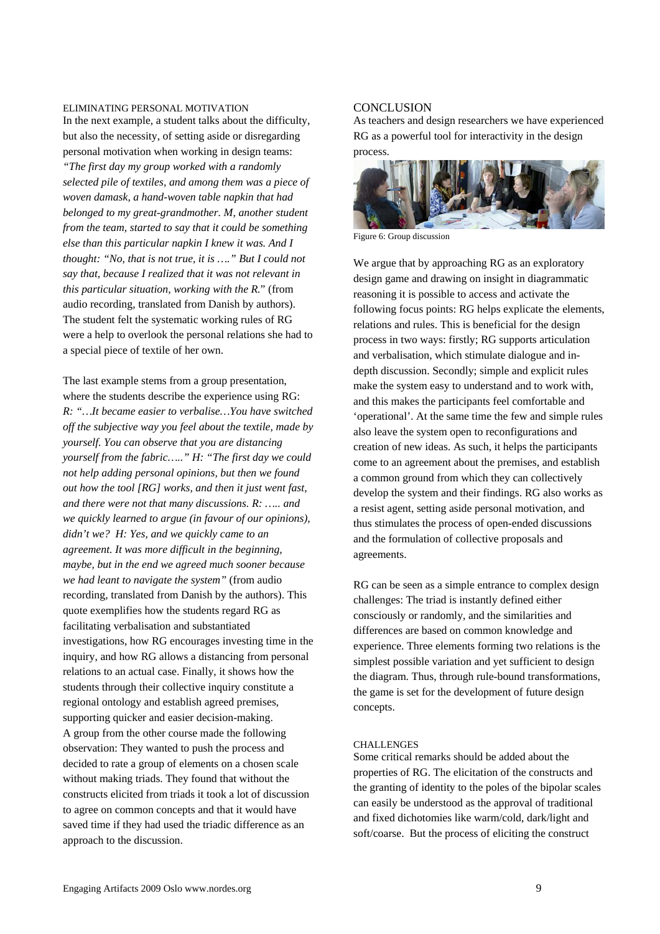# ELIMINATING PERSONAL MOTIVATION

In the next example, a student talks about the difficulty, but also the necessity, of setting aside or disregarding personal motivation when working in design teams:

*"The first day my group worked with a randomly selected pile of textiles, and among them was a piece of woven damask, a hand-woven table napkin that had belonged to my great-grandmother. M, another student from the team, started to say that it could be something else than this particular napkin I knew it was. And I thought: "No, that is not true, it is …." But I could not say that, because I realized that it was not relevant in this particular situation, working with the R.*" (from audio recording, translated from Danish by authors). The student felt the systematic working rules of RG were a help to overlook the personal relations she had to a special piece of textile of her own.

The last example stems from a group presentation, where the students describe the experience using RG: *R: "…It became easier to verbalise…You have switched off the subjective way you feel about the textile, made by yourself. You can observe that you are distancing yourself from the fabric….." H: "The first day we could not help adding personal opinions, but then we found out how the tool [RG] works, and then it just went fast, and there were not that many discussions. R: ….. and we quickly learned to argue (in favour of our opinions), didn't we? H: Yes, and we quickly came to an agreement. It was more difficult in the beginning, maybe, but in the end we agreed much sooner because we had leant to navigate the system"* (from audio recording, translated from Danish by the authors). This quote exemplifies how the students regard RG as facilitating verbalisation and substantiated investigations, how RG encourages investing time in the inquiry, and how RG allows a distancing from personal relations to an actual case. Finally, it shows how the students through their collective inquiry constitute a regional ontology and establish agreed premises, supporting quicker and easier decision-making. A group from the other course made the following observation: They wanted to push the process and decided to rate a group of elements on a chosen scale without making triads. They found that without the constructs elicited from triads it took a lot of discussion to agree on common concepts and that it would have saved time if they had used the triadic difference as an approach to the discussion.

# **CONCLUSION**

As teachers and design researchers we have experienced RG as a powerful tool for interactivity in the design process.



Figure 6: Group discussion

We argue that by approaching RG as an exploratory design game and drawing on insight in diagrammatic reasoning it is possible to access and activate the following focus points: RG helps explicate the elements, relations and rules. This is beneficial for the design process in two ways: firstly; RG supports articulation and verbalisation, which stimulate dialogue and indepth discussion. Secondly; simple and explicit rules make the system easy to understand and to work with, and this makes the participants feel comfortable and 'operational'. At the same time the few and simple rules also leave the system open to reconfigurations and creation of new ideas. As such, it helps the participants come to an agreement about the premises, and establish a common ground from which they can collectively develop the system and their findings. RG also works as a resist agent, setting aside personal motivation, and thus stimulates the process of open-ended discussions and the formulation of collective proposals and agreements.

RG can be seen as a simple entrance to complex design challenges: The triad is instantly defined either consciously or randomly, and the similarities and differences are based on common knowledge and experience. Three elements forming two relations is the simplest possible variation and yet sufficient to design the diagram. Thus, through rule-bound transformations, the game is set for the development of future design concepts.

# **CHALLENGES**

Some critical remarks should be added about the properties of RG. The elicitation of the constructs and the granting of identity to the poles of the bipolar scales can easily be understood as the approval of traditional and fixed dichotomies like warm/cold, dark/light and soft/coarse. But the process of eliciting the construct